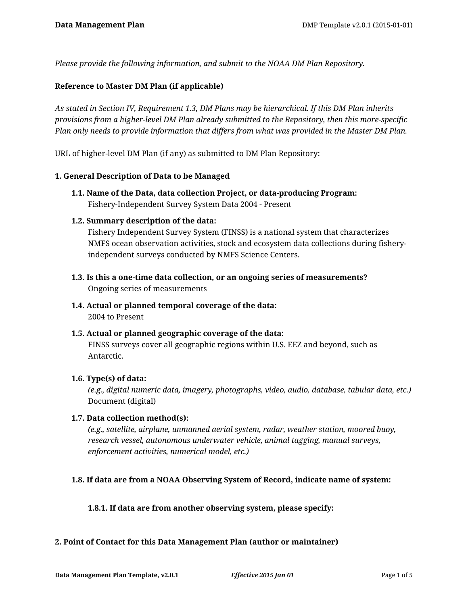*Please provide the following information, and submit to the NOAA DM Plan Repository.*

### **Reference to Master DM Plan (if applicable)**

*As stated in Section IV, Requirement 1.3, DM Plans may be hierarchical. If this DM Plan inherits provisions from a higher-level DM Plan already submitted to the Repository, then this more-specific Plan only needs to provide information that differs from what was provided in the Master DM Plan.*

URL of higher-level DM Plan (if any) as submitted to DM Plan Repository:

### **1. General Description of Data to be Managed**

**1.1. Name of the Data, data collection Project, or data-producing Program:** Fishery-Independent Survey System Data 2004 - Present

### **1.2. Summary description of the data:**

Fishery Independent Survey System (FINSS) is a national system that characterizes NMFS ocean observation activities, stock and ecosystem data collections during fisheryindependent surveys conducted by NMFS Science Centers.

- **1.3. Is this a one-time data collection, or an ongoing series of measurements?** Ongoing series of measurements
- **1.4. Actual or planned temporal coverage of the data:** 2004 to Present
- **1.5. Actual or planned geographic coverage of the data:** FINSS surveys cover all geographic regions within U.S. EEZ and beyond, such as Antarctic.

### **1.6. Type(s) of data:**

*(e.g., digital numeric data, imagery, photographs, video, audio, database, tabular data, etc.)* Document (digital)

### **1.7. Data collection method(s):**

*(e.g., satellite, airplane, unmanned aerial system, radar, weather station, moored buoy, research vessel, autonomous underwater vehicle, animal tagging, manual surveys, enforcement activities, numerical model, etc.)*

## **1.8. If data are from a NOAA Observing System of Record, indicate name of system:**

### **1.8.1. If data are from another observing system, please specify:**

### **2. Point of Contact for this Data Management Plan (author or maintainer)**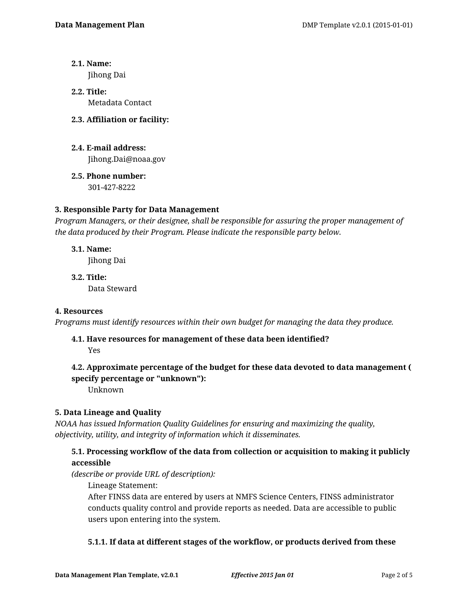- **2.1. Name:** Jihong Dai
- **2.2. Title:** Metadata Contact
- **2.3. Affiliation or facility:**
- **2.4. E-mail address:** Jihong.Dai@noaa.gov
- **2.5. Phone number:** 301-427-8222

## **3. Responsible Party for Data Management**

*Program Managers, or their designee, shall be responsible for assuring the proper management of the data produced by their Program. Please indicate the responsible party below.*

**3.1. Name:**

Jihong Dai

**3.2. Title:** Data Steward

## **4. Resources**

*Programs must identify resources within their own budget for managing the data they produce.*

## **4.1. Have resources for management of these data been identified?**

Yes

# **4.2. Approximate percentage of the budget for these data devoted to data management ( specify percentage or "unknown"):**

Unknown

## **5. Data Lineage and Quality**

*NOAA has issued Information Quality Guidelines for ensuring and maximizing the quality, objectivity, utility, and integrity of information which it disseminates.*

## **5.1. Processing workflow of the data from collection or acquisition to making it publicly accessible**

*(describe or provide URL of description):*

Lineage Statement:

After FINSS data are entered by users at NMFS Science Centers, FINSS administrator conducts quality control and provide reports as needed. Data are accessible to public users upon entering into the system.

## **5.1.1. If data at different stages of the workflow, or products derived from these**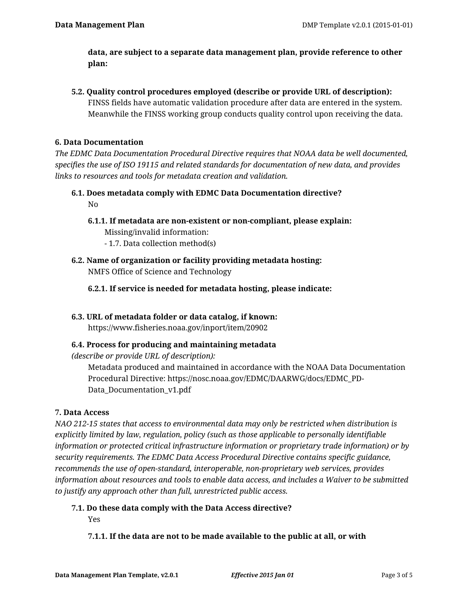**data, are subject to a separate data management plan, provide reference to other plan:**

**5.2. Quality control procedures employed (describe or provide URL of description):** FINSS fields have automatic validation procedure after data are entered in the system. Meanwhile the FINSS working group conducts quality control upon receiving the data.

### **6. Data Documentation**

*The EDMC Data Documentation Procedural Directive requires that NOAA data be well documented, specifies the use of ISO 19115 and related standards for documentation of new data, and provides links to resources and tools for metadata creation and validation.*

- **6.1. Does metadata comply with EDMC Data Documentation directive?** No
	- **6.1.1. If metadata are non-existent or non-compliant, please explain:** Missing/invalid information:
		- 1.7. Data collection method(s)
- **6.2. Name of organization or facility providing metadata hosting:** NMFS Office of Science and Technology
	- **6.2.1. If service is needed for metadata hosting, please indicate:**

## **6.3. URL of metadata folder or data catalog, if known:**

https://www.fisheries.noaa.gov/inport/item/20902

## **6.4. Process for producing and maintaining metadata**

*(describe or provide URL of description):*

Metadata produced and maintained in accordance with the NOAA Data Documentation Procedural Directive: https://nosc.noaa.gov/EDMC/DAARWG/docs/EDMC\_PD-Data\_Documentation\_v1.pdf

## **7. Data Access**

*NAO 212-15 states that access to environmental data may only be restricted when distribution is explicitly limited by law, regulation, policy (such as those applicable to personally identifiable information or protected critical infrastructure information or proprietary trade information) or by security requirements. The EDMC Data Access Procedural Directive contains specific guidance, recommends the use of open-standard, interoperable, non-proprietary web services, provides information about resources and tools to enable data access, and includes a Waiver to be submitted to justify any approach other than full, unrestricted public access.*

## **7.1. Do these data comply with the Data Access directive?**

Yes

## **7.1.1. If the data are not to be made available to the public at all, or with**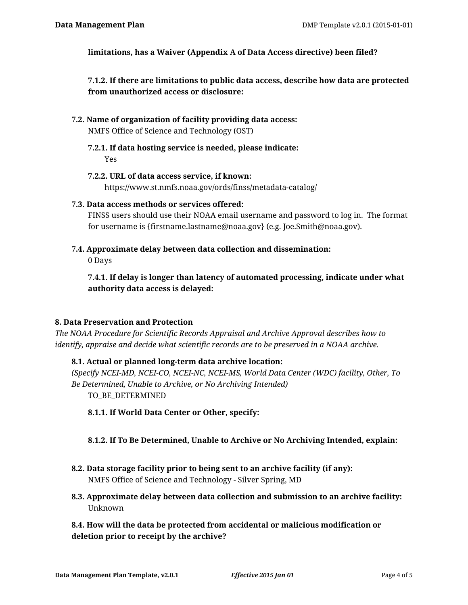**limitations, has a Waiver (Appendix A of Data Access directive) been filed?**

**7.1.2. If there are limitations to public data access, describe how data are protected from unauthorized access or disclosure:**

- **7.2. Name of organization of facility providing data access:** NMFS Office of Science and Technology (OST)
	- **7.2.1. If data hosting service is needed, please indicate:** Yes
	- **7.2.2. URL of data access service, if known:** https://www.st.nmfs.noaa.gov/ords/finss/metadata-catalog/
- **7.3. Data access methods or services offered:**

FINSS users should use their NOAA email username and password to log in. The format for username is {firstname.lastname@noaa.gov} (e.g. Joe.Smith@noaa.gov).

**7.4. Approximate delay between data collection and dissemination:**

0 Days

**7.4.1. If delay is longer than latency of automated processing, indicate under what authority data access is delayed:**

## **8. Data Preservation and Protection**

*The NOAA Procedure for Scientific Records Appraisal and Archive Approval describes how to identify, appraise and decide what scientific records are to be preserved in a NOAA archive.*

## **8.1. Actual or planned long-term data archive location:**

*(Specify NCEI-MD, NCEI-CO, NCEI-NC, NCEI-MS, World Data Center (WDC) facility, Other, To Be Determined, Unable to Archive, or No Archiving Intended)* TO BE DETERMINED

**8.1.1. If World Data Center or Other, specify:**

## **8.1.2. If To Be Determined, Unable to Archive or No Archiving Intended, explain:**

- **8.2. Data storage facility prior to being sent to an archive facility (if any):** NMFS Office of Science and Technology - Silver Spring, MD
- **8.3. Approximate delay between data collection and submission to an archive facility:** Unknown

**8.4. How will the data be protected from accidental or malicious modification or deletion prior to receipt by the archive?**